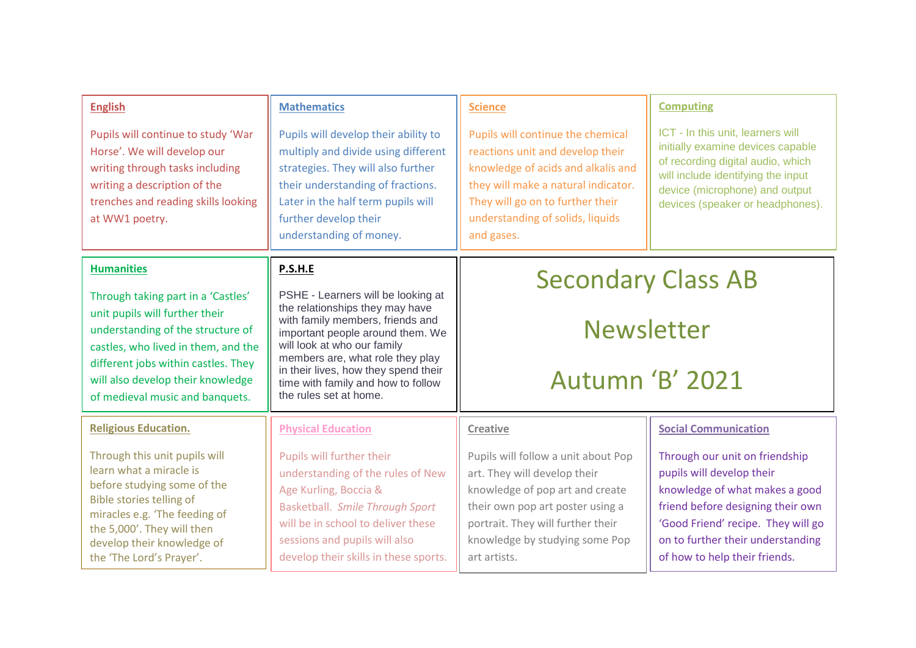| <b>English</b>                                                                                                                                                                                                                                                  | <b>Mathematics</b>                                                                                                                                                                                                                                                                                                       | <b>Science</b>                                                                                                                                                                                                                           | <b>Computing</b>                                                                                                                                                                                                                               |
|-----------------------------------------------------------------------------------------------------------------------------------------------------------------------------------------------------------------------------------------------------------------|--------------------------------------------------------------------------------------------------------------------------------------------------------------------------------------------------------------------------------------------------------------------------------------------------------------------------|------------------------------------------------------------------------------------------------------------------------------------------------------------------------------------------------------------------------------------------|------------------------------------------------------------------------------------------------------------------------------------------------------------------------------------------------------------------------------------------------|
| Pupils will continue to study 'War<br>Horse'. We will develop our<br>writing through tasks including<br>writing a description of the<br>trenches and reading skills looking<br>at WW1 poetry.                                                                   | Pupils will develop their ability to<br>multiply and divide using different<br>strategies. They will also further<br>their understanding of fractions.<br>Later in the half term pupils will<br>further develop their<br>understanding of money.                                                                         | Pupils will continue the chemical<br>reactions unit and develop their<br>knowledge of acids and alkalis and<br>they will make a natural indicator.<br>They will go on to further their<br>understanding of solids, liquids<br>and gases. | ICT - In this unit, learners will<br>initially examine devices capable<br>of recording digital audio, which<br>will include identifying the input<br>device (microphone) and output<br>devices (speaker or headphones).                        |
| <b>Humanities</b>                                                                                                                                                                                                                                               | P.S.H.E                                                                                                                                                                                                                                                                                                                  | <b>Secondary Class AB</b><br><b>Newsletter</b><br><b>Autumn 'B' 2021</b>                                                                                                                                                                 |                                                                                                                                                                                                                                                |
| Through taking part in a 'Castles'<br>unit pupils will further their<br>understanding of the structure of<br>castles, who lived in them, and the<br>different jobs within castles. They<br>will also develop their knowledge<br>of medieval music and banquets. | PSHE - Learners will be looking at<br>the relationships they may have<br>with family members, friends and<br>important people around them. We<br>will look at who our family<br>members are, what role they play<br>in their lives, how they spend their<br>time with family and how to follow<br>the rules set at home. |                                                                                                                                                                                                                                          |                                                                                                                                                                                                                                                |
| <b>Religious Education.</b>                                                                                                                                                                                                                                     | <b>Physical Education</b>                                                                                                                                                                                                                                                                                                | Creative                                                                                                                                                                                                                                 | <b>Social Communication</b>                                                                                                                                                                                                                    |
| Through this unit pupils will<br>learn what a miracle is<br>before studying some of the<br>Bible stories telling of<br>miracles e.g. 'The feeding of<br>the 5,000'. They will then<br>develop their knowledge of<br>the 'The Lord's Prayer'.                    | Pupils will further their<br>understanding of the rules of New<br>Age Kurling, Boccia &<br><b>Basketball. Smile Through Sport</b><br>will be in school to deliver these<br>sessions and pupils will also<br>develop their skills in these sports.                                                                        | Pupils will follow a unit about Pop<br>art. They will develop their<br>knowledge of pop art and create<br>their own pop art poster using a<br>portrait. They will further their<br>knowledge by studying some Pop<br>art artists.        | Through our unit on friendship<br>pupils will develop their<br>knowledge of what makes a good<br>friend before designing their own<br>'Good Friend' recipe. They will go<br>on to further their understanding<br>of how to help their friends. |